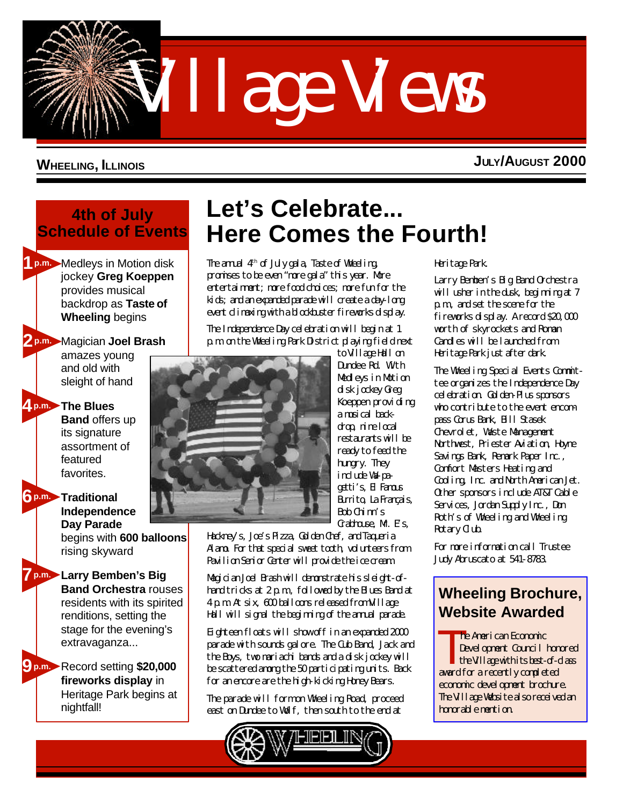Village Views

## **WHEELING, ILLINOIS**

**JULY/AUGUST 2000**

## **4th of July Schedule of Events**

Medleys in Motion disk **1p.m.** jockey **Greg Koeppen** provides musical backdrop as **Taste of Wheeling** begins

## Magician **Joel Brash 2p.m.**

amazes young and old with sleight of hand

**The Blues 4p.m. Band** offers up its signature assortment of featured favorites.

**Traditional 6p.m. Independence Day Parade** begins with **600 balloons** rising skyward

**Larry Bemben's Big 7p.m. Band Orchestra** rouses residents with its spirited renditions, setting the stage for the evening's extravaganza...

Record setting **\$20,000 9p.m. fireworks display** in Heritage Park begins at nightfall!

# **Let's Celebrate... Here Comes the Fourth!**

The annual 4<sup>th</sup> of July gala, Taste of Wheeling, promises to be even "more gala" this year. More entertainment; more food choices; more fun for the kids; and an expanded parade will create a day-long event climaxing with a blockbuster fireworks display.

The Independence Day celebration will begin at 1 p.m. on the Wheeling Park District playing field next



to Village Hall on Dundee Rd. With Medleys in Motion disk jockey Greg Koeppen providing a musical backdrop, nine local restaurants will be ready to feed the hungry. They include Wa-pagetti's, El Famous Burito, La Francais Bob Chinn's Grabhouse, Mr. Es,

Hackney's, Joe's Pizza, Golden Chef, and Taqueria Alamo. For that special sweet tooth, volunteers from Pavilion Senior Center will provide the ice cream.

Magician Joel Brash will demonstrate his sleight-ofhand tricks at 2 p.m., followed by the Blues Band at 4 p.m. At six, 600 balloons released from Village Hall will signal the beginning of the annual parade.

Eighteen floats will show off in an expanded 2000 parade with sounds galore. The Cub Band, Jack and the Boys, two mariachi bands and a disk jockey will be scattered among the 50 participating units. Back for an encore are the high-kicking Honey Bears.

The parade will form on Wheeling Road, proceed east on Dundee to Wolf, then south to the end at



### Heritage Park.

Larry Bemben's Big Band Orchestra will usher in the dusk, beginning at 7 p.m., and set the scene for the fireworks display. A record \$20,000 worth of skyrockets and Roman Candles will be launched from Heritage Park just after dark.

The Wheeling Special Events Committee organizes the Independence Day celebration. Golden-Plus sponsors who contribute to the event encompass Corus Bank, Bill Stasek Chevrolet, Waste Management Northwest, Priester Aviation, Hoyne Savings Bank, Remark Paper Inc., Comfort Masters Heating and Cooling, Inc. and North American Jet. Other sponsors include AT&T Cable Services, Jordan Supply Inc., Don Roth's of Wheeling and Wheeling Rotary Club.

For more information call Trustee Judy Abruscato at 541-8783.

# **[Wheeling Brochure,](http://www.aedc.org) Website Awarded**

T<sub>b</sub> he American Economic Development Council honored the Village with its best-of-class award for a recently completed economic development brochure. The Village Website also received an honorable mention.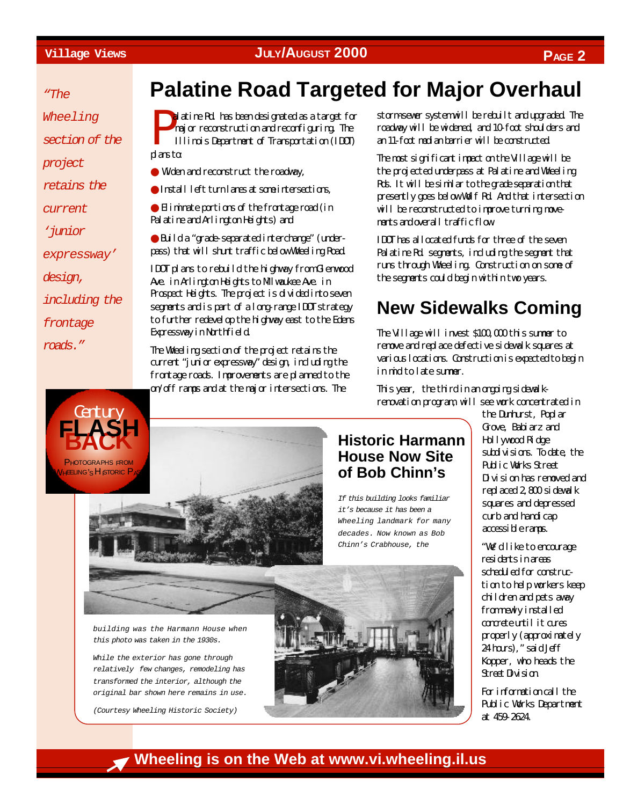*"The*

*Wheeling*

*section of the*

*project*

*retains the*

*current*

*'junior*

*expressway'*

*design,*

*including the*

*frontage*

*roads."*



# **Palatine Road Targeted for Major Overhaul**

P<sub>1</sub> alatine Rd. has been designated as a target for major reconstruction and reconfiguring. The Illinois Department of Transportation (IDOT) plans tα

● Widen and reconstruct the roadway,

● Install left turn lanes at some intersections,

● Eliminate portions of the frontage road (in Palatine and Arlington Heights) and

● Build a "grade-separated interchange" (underpass) that will shunt traffic below Wheeling Road.

IDOT plans to rebuild the highway from Glenwood Ave. in Arlington Heights to Milwaukee Ave. in Prospect Heights. The project is divided into seven segments and is part of a long-range IDOT strategy to further redevelop the highway east to the Edens Expressway in Northfield.

The Wheeling section of the project retains the current "junior expressway" design, including the frontage roads. Improvements are planned to the on/off ramps and at the major intersections. The

storm-sewer system will be rebuilt and upgraded. The roadway will be widened, and 10-foot shoulders and an 11-foot median barrier will be constructed.

The most significant impact on the Village will be the projected underpass at Palatine and Wheeling Rds. It will be similar to the grade separation that presently goes below Wolf Rd. And that intersection will be reconstructed to improve turning movements and overall traffic flow.

IDOT has allocated funds for three of the seven Palatine Rd. segments, including the segment that runs through Wheeling. Construction on some of the segments could begin within two years.

# **New Sidewalks Coming**

The Village will invest \$100,000 this summer to remove and replace defective sidewalk squares at various locations. Construction is expected to begin in mid to late summer.

This year, the third in an ongoing sidewalkrenovation program, will see work concentrated in

> the Dunhurst, Poplar Grove, Babiarz and Hollywood Ridge subdivisions. To date, the Public Works Street Division has removed and replaced 2,800 sidewalk squares and depressed curb and handicap accessible ramps.

"We'd like to encourage residents in areas scheduled for construction to help workers keep children and pets away from newly installed concrete until it cures properly (approximately 24 hours)," said Jeff Kopper, who heads the Street Division.

For information call the Public Works Department at 459-2624.

*building was the Harmann House when this photo was taken in the 1930s.*

*While the exterior has gone through relatively few changes, remodeling has transformed the interior, although the original bar shown here remains in use.*

*(Courtesy Wheeling Historic Society)*



**Historic Harmann House Now Site of Bob Chinn's**

*If this building looks familiar it's because it has been a Wheeling landmark for many decades. Now known as Bob Chinn's Crabhouse, the*

## **Wheeling is on the Web at www.vi.wheeling.il.us**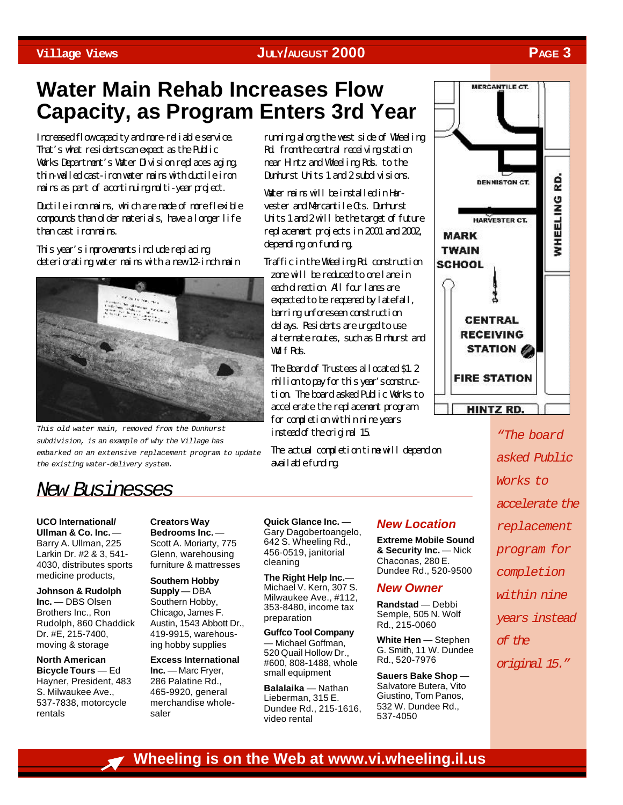# **Water Main Rehab Increases Flow Capacity, as Program Enters 3rd Year**

Increased flow capacity and more-reliable service. That's what residents can expect as the Public Works Department's Water Division replaces aging, thin-walled cast-iron water mains with ductile iron mains as part of acontinuing multi-year project.

Ductile iron mains, which are made of more flexible compounds than older materials, have a longer life than cast iron mains.

This year's improvements include replacing deteriorating water mains with a new 12-inch main



*This old water main, removed from the Dunhurst subdivision, is an example of why the Village has embarked on an extensive replacement program to update the existing water-delivery system.*

running along the west side of Wheeling Rd. from the central receiving station near Hintz and Wheeling Rds. to the Dunhurst Units 1 and 2 subdivisions.

Water mains will be installed in Harvester and Mercantile Cts. Dunhurst Units 1 and 2 will be the target of future replacement projects in 2001 and 2002, depending on funding.

Traffic in the Wheeling Rd. construction

zone will be reduced to one lane in each direction. All four lanes are expected to be reopened by latefall, barring unforeseen construction delays. Residents are urged to use alternate routes, such as Elmhurst and Wolf Rds.

The Board of Trustees allocated \$1.2 million to pay for this year's construction. The board asked Public Works to accelerate the replacement program for completion within nine years instead of the original 15.

The actual completion time will depend on available funding.



*"The board asked Public Works to accelerate the replacement program for completion within nine*

*years instead*

*of the*

*original 15."*

## *New Businesses*

**UCO International/ Ullman & Co. Inc.** — Barry A. Ullman, 225 Larkin Dr. #2 & 3, 541- 4030, distributes sports medicine products,

**Johnson & Rudolph Inc.** — DBS Olsen Brothers Inc., Ron Rudolph, 860 Chaddick Dr. #E, 215-7400, moving & storage

**North American Bicycle Tours** — Ed Hayner, President, 483 S. Milwaukee Ave., 537-7838, motorcycle rentals

**Creators Way Bedrooms Inc.** — Scott A. Moriarty, 775 Glenn, warehousing furniture & mattresses

**Southern Hobby Supply** — DBA Southern Hobby, Chicago, James F. Austin, 1543 Abbott Dr., 419-9915, warehousing hobby supplies

**Excess International Inc.** — Marc Fryer, 286 Palatine Rd., 465-9920, general merchandise wholesaler

**Quick Glance Inc.** — Gary Dagobertoangelo, 642 S. Wheeling Rd., 456-0519, janitorial cleaning

**The Right Help Inc.**— Michael V. Kern, 307 S. Milwaukee Ave., #112, 353-8480, income tax preparation

**Guffco Tool Company** — Michael Goffman, 520 Quail Hollow Dr., #600, 808-1488, whole small equipment

**Balalaika** — Nathan Lieberman, 315 E. Dundee Rd., 215-1616, video rental

### *New Location*

**Extreme Mobile Sound & Security Inc.** — Nick Chaconas, 280 E. Dundee Rd., 520-9500

### *New Owner*

**Randstad** — Debbi Semple, 505 N. Wolf Rd., 215-0060

**White Hen** — Stephen G. Smith, 11 W. Dundee Rd., 520-7976

**Sauers Bake Shop** — Salvatore Butera, Vito Giustino, Tom Panos, 532 W. Dundee Rd., 537-4050

## **Wheeling is on the Web at www.vi.wheeling.il.us**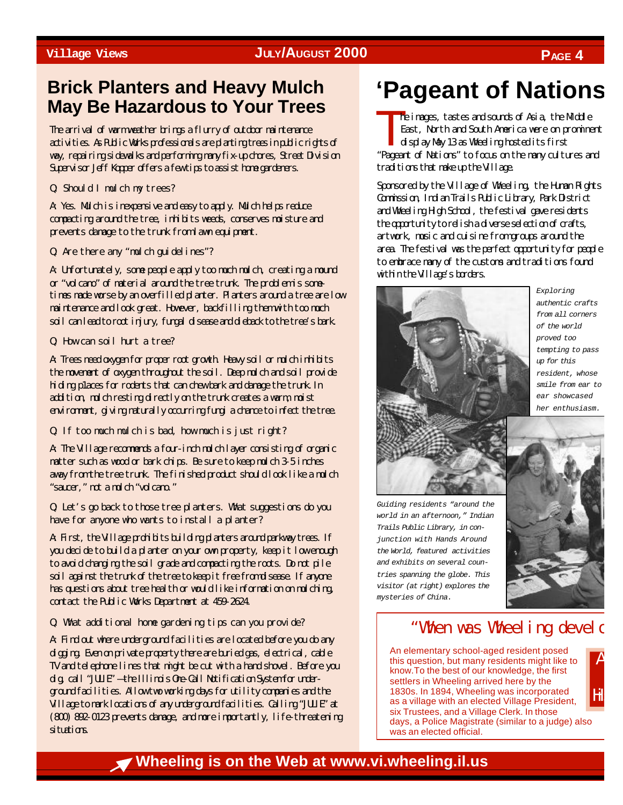## **Brick Planters and Heavy Mulch May Be Hazardous to Your Trees**

The arrival of warm weather brings a flurry of outdoor maintenance activities. As Public Works professionals are planting trees in public rights of way, repairing sidewalks and performing many fix-up chores, Street Division Supervisor Jeff Kopper offers a few tips to assist home gardeners.

Q: Should I mulch my trees?

A: Yes. Mulch is inexpensive and easy to apply. Mulch helps reduce compacting around the tree, inhibits weeds, conserves moisture and prevents damage to the trunk from lawn equipment.

Q: Are there any "mulch guidelines"?

A: Unfortunately, some people apply too much mulch, creating a mound or "volcano" of material around the tree trunk. The problem is sometimes made worse by an overfilled planter. Planters around a tree are low maintenance and look great. However, backfilling them with too much soil can lead to root injury, fungal disease and dieback to the tree's bark.

Q: How can soil hurt a tree?

A: Trees need oxygen for proper root growth. Heavy soil or mulch inhibits the movement of oxygen throughout the soil. Deep mulch and soil provide hiding p1aces for rodents that can chew bark and damage the trunk. In addition, mulch resting directly on the trunk creates a warm, moist environment, giving naturally occurring fungi a chance to infect the tree.

Q: If too much mulch is bad, how much is just right?

A: The Village recommends a four-inch mulch layer consisting of organic matter such as wood or bark chips. Be sure to keep mulch 3-5 inches away from the tree trunk. The finished product should look like a mulch "saucer," not a mulch "volcano."

Q: Let's go back to those tree planters. What suggestions do you have for anyone who wants to install a planter?

A: First, the Village prohibits building planters around parkway trees. If you decide to build a planter on your own property, keep it low enough to avoid changing the soil grade and compacting the roots. Do not pile soil against the trunk of the tree to keep it free from disease. If anyone has questions about tree health or would like information on mulching, contact the Public Works Department at 459-2624.

Q: What additional home gardening tips can you provide?

A: Find out where underground facilities are located before you do any digging. Even on private property there are buried gas, electrical, cable TV and telephone lines that might be cut with a hand shovel. Before you dig, call "JULIE" — the Illinois One-Call Notification System for underground facilities. Allow two working days for utility companies and the Village to mark locations of any underground facilities. Calling "JULIE" at (800) 892-0123 prevents damage, and more importantly, life-threatening situations.

# **'Pageant of Nations**

T<sup>h</sup> he images, tastes and sounds of Asia, the Middle East, North and South America were on prominent display May 13 as Wheeling hosted its first "Pageant of Nations" to focus on the many cultures and traditions that make up the Village.

Sponsored by the Village of Wheeling, the Human Rights Commission, Indian Trails Public Library, Park District and Wheeling High School, the festival gave residents the opportunity to relish a diverse selection of crafts, artwork, music and cuisine from groups around the area. The festival was the perfect opportunity for people to embrace many of the customs and traditions found within the Village's borders.



*Exploring authentic crafts from all corners of the world proved too tempting to pass up for this resident, whose smile from ear to ear showcased her enthusiasm.*

*Guiding residents "around the world in an afternoon," Indian Trails Public Library, in conjunction with Hands Around the World, featured activities and exhibits on several countries spanning the globe. This visitor (at right) explores the mysteries of China.*



 $\overline{A}$  $\vert$  $\mathbf{H}$ 

## "When was Wheeling develd

An elementary school-aged resident posed this question, but many residents might like to know.To the best of our knowledge, the first settlers in Wheeling arrived here by the 1830s. In 1894, Wheeling was incorporated as a village with an elected Village President, six Trustees, and a Village Clerk. In those days, a Police Magistrate (similar to a judge) also was an elected official.

**Wheeling is on the Web at www.vi.wheeling.il.us**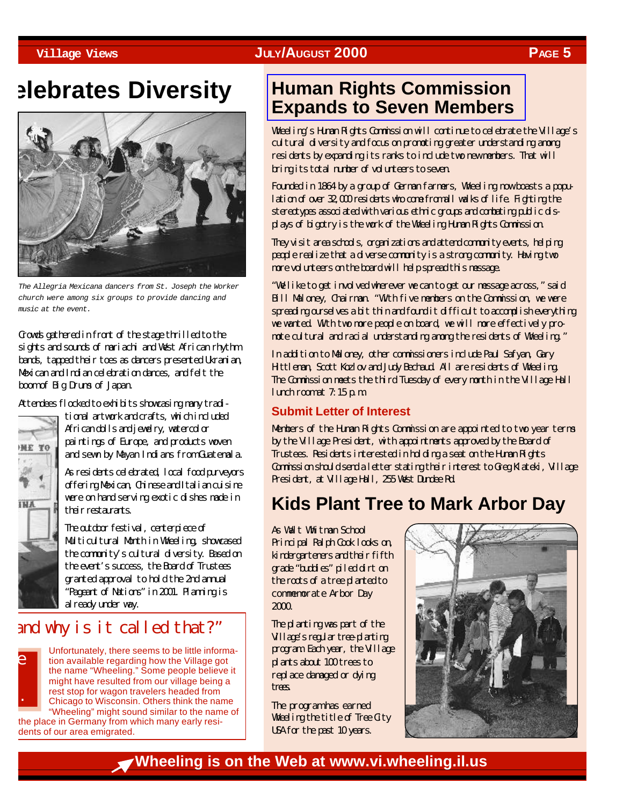# **elebrates Diversity**



*The Allegria Mexicana dancers from St. Joseph the Worker church were among six groups to provide dancing and music at the event.*

Crowds gathered in front of the stage thrilled to the sights and sounds of mariachi and West African rhythm bands, tapped their toes as dancers presented Ukranian, Mexican and Indian celebration dances, and felt the boom of Big Drums of Japan.

Attendees flocked to exhibits showcasing many tradi-

**NE TO** 

tional artwork and crafts, which included African dolls and jewelry, watercolor paintings of Europe, and products woven and sewn by Mayan Indians from Guatemala.

As residents celebrated, local food purveyors offering Mexican, Chinese and Italian cuisine were on hand serving exotic dishes made in their restaurants.

The outdoor festival, centerpiece of Multicultural Month in Wheeling, showcased the community's cultural diversity. Based on the event's success, the Board of Trustees granted approval to hold the 2nd annual "Pageant of Nations" in 2001. Planning is already under way.

## and why is it called that?"



Unfortunately, there seems to be little information available regarding how the Village got the name "Wheeling." Some people believe it might have resulted from our village being a rest stop for wagon travelers headed from Chicago to Wisconsin. Others think the name "Wheeling" might sound similar to the name of

the place in Germany from which many early residents of our area emigrated.

## **Human Rights Commission [Expands to Seven Members](http://wheelingil.gov/Government/BoardsAndCommissions/BoardsAndCommissions.htm#Human Rights Commission)**

Wheeling's Human Rights Commission will continue to celebrate the Village's cultural diversity and focus on promoting greater understanding among residents by expanding its ranks to include two new members. That will bring its total number of volunteers to seven.

Founded in 1864 by a group of German farmers, Wheeling now boasts a population of over 32,000 residents who come from all walks of life. Fighting the stereotypes associated with various ethnic groups and combating public displays of bigotry is the work of the Wheeling Human Rights Commission.

They visit area schools, organizations and attend community events, helping people realize that a diverse community is a strong community. Having two more volunteers on the board will help spread this message.

"We like to get involved wherever we can to get our message across," said Bill Maloney, Chairman. "With five members on the Commission, we were spreading ourselves a bit thin and found it difficult to accomplish everything we wanted. With two more people on board, we will more effectively promote cultural and racial understanding among the residents of Wheeling."

In addition to Maloney, other commissioners include Paul Safyan, Gary Hittleman, Scott Kozlov and Judy Bechaud. All are residents of Wheeling. The Commission meets the third Tuesday of every month in the Village Hall lunch room at  $7:15 \text{ p.m.}$ 

### **Submit Letter of Interest**

Members of the Human Rights Commission are appointed to two year terms by the Village President, with appointments approved by the Board of Trustees. Residents interested in holding a seat on the Human Rights Commission should send a letter stating their interest to Greg Klateki, Village President, at Village Hall, 255 West Dundee Rd.

# **Kids Plant Tree to Mark Arbor Day**

As Walt Whitman School Principal Ralph Cook looks on, kindergarteners and their fifth grade "buddies" piled dirt on the roots of a tree planted to commemorate Arbor Day 2000.

The planting was part of the Village's regular tree-planting program. Each year, the Village plants about 100 trees to replace damaged or dying trees.

The program has earned Wheeling the title of Tree City USA for the past 10 years.



**Wheeling is on the Web at www.vi.wheeling.il.us**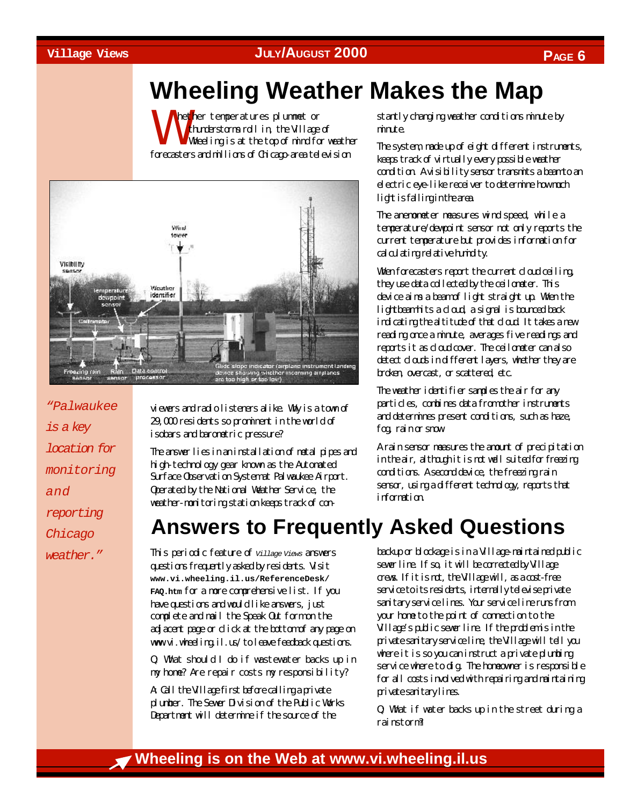# **Wheeling Weather Makes the Map**

W hether temperatures plummet or thunderstorms roll in, the Village of Wheeling is at the top of mind for weather forecasters and millions of Chicago-area television



*"Palwaukee is a key location for monitoring and reporting Chicago weather."*

viewers and radio listeners alike. Why is a town of 29,000 residents so prominent in the world of isobars and barometric pressure?

The answer lies in an installation of metal pipes and high-technology gear known as the Automated Surface Observation System at Palwaukee Airport. Operated by the National Weather Service, the weather-monitoring station keeps track of constantly changing weather conditions minute by minute.

The system, made up of eight different instruments, keeps track of virtually every possible weather condition. A visibility sensor transmits a beam to an electric eye-like receiver to determine how much light is falling in the area.

The anemometer measures wind speed, while a temperature/dewpoint sensor not only reports the current temperature but provides information for calculating relative humidity.

When forecasters report the current cloud ceiling, they use data collected by the ceilometer. This device aims a beam of light straight up. When the lightbeam hits a cloud, a signal is bounced back indicating the altitude of that cloud. It takes a new reading once a minute, averages five readings and reports it as cloud cover. The ceilometer can also detect clouds in different layers, whether they are broken, overcast, or scattered, etc.

The weather identifier samples the air for any particles, combines data from other instruments and determines present conditions, such as haze, fog, rain or snow.

A rain sensor measures the amount of precipitation in the air, although it is not well suited for freezing conditions. A second device, the freezing rain sensor, using a different technology, reports that information.

# **Answers to Frequently Asked Questions**

This periodic feature of *Village Views* answers questions frequently asked by residents. Visit **www.vi.wheeling.il.us/ReferenceDesk/ FAQ.htm** for a more comprehensive list. If you have questions and would like answers, just complete and mail the Speak Out form on the adjacent page or click at the bottom of any page on www.vi.wheeling.il.us/ to leave feedback questions.

Q: What should I do if wastewater backs up in my home? Are repair costs my responsibility?

A: Call the Village first before calling a private plumber. The Sewer Division of the Public Works Department will determine if the source of the

backup or blockage is in a Village-maintained public sewer line. If so, it will be corrected by Village crews. If it is not, the Village will, as a cost-free service to its residents, internally televise private sanitary service lines. Your service line runs from your home to the point of connection to the Village's public sewer line. If the problem is in the private sanitary service line, the Village will tell you where it is so you can instruct a private plumbing service where to dig. The homeowner is responsible for all costs involved with repairing and maintaining private sanitary lines.

Q: What if water backs up in the street during a rainstorm?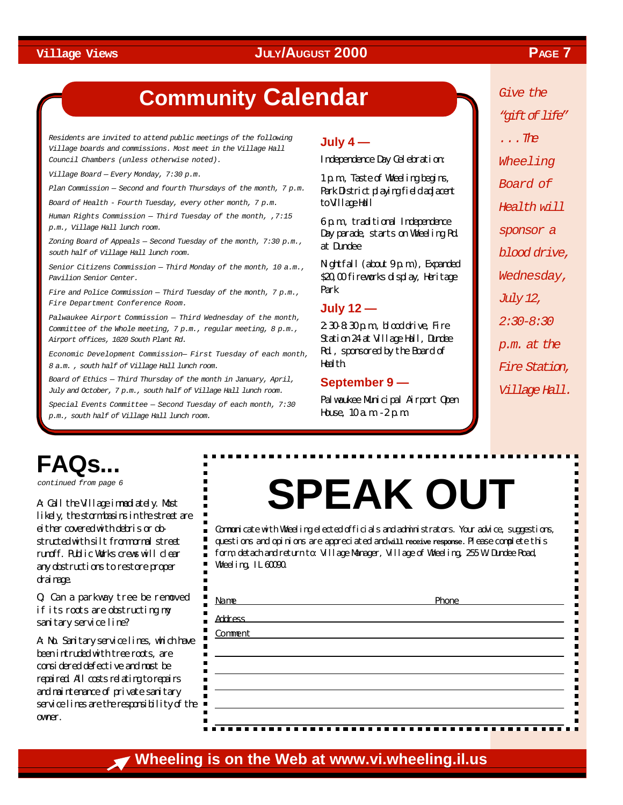# **Community Calendar**

*Residents are invited to attend public meetings of the following Village boards and commissions. Most meet in the Village Hall Council Chambers (unless otherwise noted).*

*Village Board — Every Monday, 7:30 p.m.*

*Plan Commission — Second and fourth Thursdays of the month, 7 p.m.*

*Board of Health - Fourth Tuesday, every other month, 7 p.m.*

*Human Rights Commission — Third Tuesday of the month, ,7:15 p.m., Village Hall lunch room.*

*Zoning Board of Appeals — Second Tuesday of the month, 7:30 p.m., south half of Village Hall lunch room.*

*Senior Citizens Commission — Third Monday of the month, 10 a.m., Pavilion Senior Center.*

*Fire and Police Commission — Third Tuesday of the month, 7 p.m., Fire Department Conference Room.*

*Palwaukee Airport Commission — Third Wednesday of the month, Committee of the Whole meeting, 7 p.m., regular meeting, 8 p.m., Airport offices, 1020 South Plant Rd.*

*Economic Development Commission— First Tuesday of each month, 8 a.m. , south half of Village Hall lunch room.*

*Board of Ethics — Third Thursday of the month in January, April, July and October, 7 p.m., south half of Village Hall lunch room.*

*Special Events Committee — Second Tuesday of each month, 7:30 p.m., south half of Village Hall lunch room.*

### **July 4 —**

Independence Day Celebration:

1 p.m., Taste of Wheeling begins, Park District playing field adjacent to Village Hall

6 p.m., traditional Independence Day parade, starts on Wheeling Rd. at Dundee

Nightfall (about 9 p.m.), Expanded \$20,00 fireworks display, Heritage Park

### **July 12 —**

2:30-8:30 p.m., blood drive, Fire Station 24 at Village Hall, Dundee Rd., sponsored by the Board of **Health** 

### **September 9 —**

Palwaukee Municipal Airport Open House,  $10a m - 2p m$ 

*Give the "gift of life" . . . The Wheeling Board of Health will sponsor a blood drive, Wednesday, July 12, 2:30-8:30 p.m. at the Fire Station, Village Hall.*

# **FAQs...**

*continued from page 6*

A: Call the Village immediately. Most likely, the storm basins in the street are either covered with debris or obstructed with silt from monal street runoff. Public Works crews will clear any obstructions to restore proper drainage.

Q: Can a parkway tree be removed if its roots are obstructing my sanitary service line?

A: No. Sanitary service lines, which have been intruded with tree roots, are considered defective and must be repaired. All costs relating to repairs and maintenance of private sanitary service lines are the responsibility of the owner.

# **SPEAK OUT**

Communicate with Wheeling elected officials and administrators. Your advice, suggestions, questions and opinions are appreciated and **will receive response.** Please complete this form, detach and return to: Village Manager, Village of Wheeling, 255 W. Dundee Road, Wheeling, IL 60090.

| Name           | Phone |
|----------------|-------|
| <b>Address</b> |       |
| Comment        |       |
|                |       |
|                |       |
|                |       |
|                |       |
|                |       |

## **Wheeling is on the Web at www.vi.wheeling.il.us**